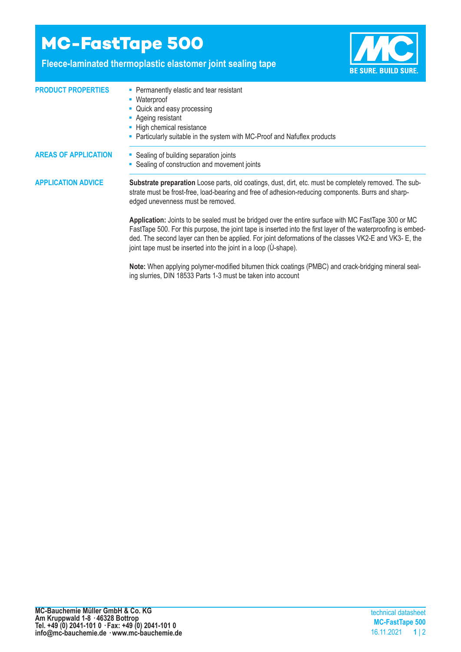## **MC-FastTape 500**

## **Fleece-laminated thermoplastic elastomer joint sealing tape**



| <b>PRODUCT PROPERTIES</b>   | • Permanently elastic and tear resistant<br>• Waterproof<br>• Quick and easy processing<br>• Ageing resistant<br>- High chemical resistance<br>- Particularly suitable in the system with MC-Proof and Nafuflex products                                                                                                                                                                          |
|-----------------------------|---------------------------------------------------------------------------------------------------------------------------------------------------------------------------------------------------------------------------------------------------------------------------------------------------------------------------------------------------------------------------------------------------|
| <b>AREAS OF APPLICATION</b> | • Sealing of building separation joints<br>• Sealing of construction and movement joints                                                                                                                                                                                                                                                                                                          |
| <b>APPLICATION ADVICE</b>   | <b>Substrate preparation</b> Loose parts, old coatings, dust, dirt, etc. must be completely removed. The sub-<br>strate must be frost-free, load-bearing and free of adhesion-reducing components. Burrs and sharp-<br>edged unevenness must be removed.                                                                                                                                          |
|                             | Application: Joints to be sealed must be bridged over the entire surface with MC FastTape 300 or MC<br>FastTape 500. For this purpose, the joint tape is inserted into the first layer of the waterproofing is embed-<br>ded. The second layer can then be applied. For joint deformations of the classes VK2-E and VK3-E, the<br>joint tape must be inserted into the joint in a loop (U-shape). |

**Note:** When applying polymer-modified bitumen thick coatings (PMBC) and crack-bridging mineral sealing slurries, DIN 18533 Parts 1-3 must be taken into account